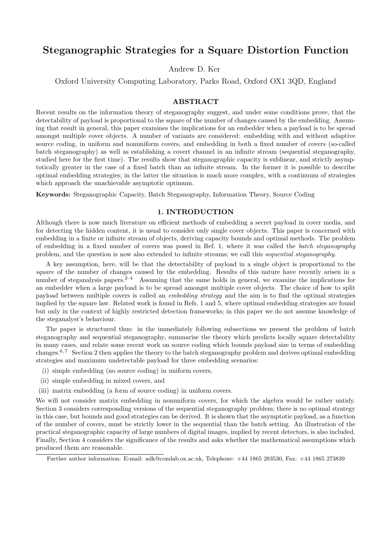# Steganographic Strategies for a Square Distortion Function

Andrew D. Ker

Oxford University Computing Laboratory, Parks Road, Oxford OX1 3QD, England

## ABSTRACT

Recent results on the information theory of steganography suggest, and under some conditions prove, that the detectability of payload is proportional to the square of the number of changes caused by the embedding. Assuming that result in general, this paper examines the implications for an embedder when a payload is to be spread amongst multiple cover objects. A number of variants are considered: embedding with and without adaptive source coding, in uniform and nonuniform covers, and embedding in both a fixed number of covers (so-called batch steganography) as well as establishing a covert channel in an infinite stream (sequential steganography, studied here for the first time). The results show that steganographic capacity is sublinear, and strictly asymptotically greater in the case of a fixed batch than an infinite stream. In the former it is possible to describe optimal embedding strategies; in the latter the situation is much more complex, with a continuum of strategies which approach the unachievable asymptotic optimum.

Keywords: Steganographic Capacity, Batch Steganography, Information Theory, Source Coding

# 1. INTRODUCTION

Although there is now much literature on efficient methods of embedding a secret payload in cover media, and for detecting the hidden content, it is usual to consider only single cover objects. This paper is concerned with embedding in a finite or infinite stream of objects, deriving capacity bounds and optimal methods. The problem of embedding in a fixed number of covers was posed in Ref. 1, where it was called the batch steganography problem, and the question is now also extended to infinite streams; we call this sequential steganography.

A key assumption, here, will be that the detectability of payload in a single object is proportional to the square of the number of changes caused by the embedding. Results of this nature have recently arisen in a number of steganalysis papers.<sup>2–4</sup> Assuming that the same holds in general, we examine the implications for an embedder when a large payload is to be spread amongst multiple cover objects. The choice of how to split payload between multiple covers is called an embedding strategy and the aim is to find the optimal strategies implied by the square law. Related work is found in Refs. 1 and 5, where optimal embedding strategies are found but only in the context of highly restricted detection frameworks; in this paper we do not assume knowledge of the steganalyst's behaviour.

The paper is structured thus: in the immediately following subsections we present the problem of batch steganography and sequential steganography, summarise the theory which predicts locally square detectability in many cases, and relate some recent work on source coding which bounds payload size in terms of embedding changes.<sup>6,7</sup> Section 2 then applies the theory to the batch steganography problem and derives optimal embedding strategies and maximum undetectable payload for three embedding scenarios:

- (i) simple embedding (no source coding) in uniform covers,
- (ii) simple embedding in mixed covers, and
- (iii) matrix embedding (a form of source coding) in uniform covers.

We will not consider matrix embedding in nonuniform covers, for which the algebra would be rather untidy. Section 3 considers corresponding versions of the sequential steganography problem; there is no optimal strategy in this case, but bounds and good strategies can be derived. It is shown that the asymptotic payload, as a function of the number of covers, must be strictly lower in the sequential than the batch setting. An illustration of the practical steganographic capacity of large numbers of digital images, implied by recent detectors, is also included. Finally, Section 4 considers the significance of the results and asks whether the mathematical assumptions which produced them are reasonable.

Further author information: E-mail: adk@comlab.ox.ac.uk, Telephone: +44 1865 283530, Fax: +44 1865 273839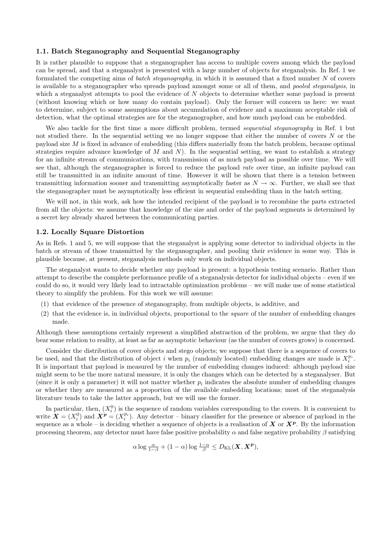#### 1.1. Batch Steganography and Sequential Steganography

It is rather plausible to suppose that a steganographer has access to multiple covers among which the payload can be spread, and that a steganalyst is presented with a large number of objects for steganalysis. In Ref. 1 we formulated the competing aims of batch steganography, in which it is assumed that a fixed number N of covers is available to a steganographer who spreads payload amongst some or all of them, and pooled steganalysis, in which a steganalyst attempts to pool the evidence of  $N$  objects to determine whether some payload is present (without knowing which or how many do contain payload). Only the former will concern us here: we want to determine, subject to some assumptions about accumulation of evidence and a maximum acceptable risk of detection, what the optimal strategies are for the steganographer, and how much payload can be embedded.

We also tackle for the first time a more difficult problem, termed sequential steganography in Ref. 1 but not studied there. In the sequential setting we no longer suppose that either the number of covers  $N$  or the payload size M is fixed in advance of embedding (this differs materially from the batch problem, because optimal strategies require advance knowledge of  $M$  and  $N$ ). In the sequential setting, we want to establish a strategy for an infinite stream of communications, with transmission of as much payload as possible over time. We will see that, although the steganographer is forced to reduce the payload rate over time, an infinite payload can still be transmitted in an infinite amount of time. However it will be shown that there is a tension between transmitting information sooner and transmitting asymptotically faster as  $N \to \infty$ . Further, we shall see that the steganographer must be asymptotically less efficient in sequential embedding than in the batch setting.

We will not, in this work, ask how the intended recipient of the payload is to recombine the parts extracted from all the objects: we assume that knowledge of the size and order of the payload segments is determined by a secret key already shared between the communicating parties.

#### 1.2. Locally Square Distortion

As in Refs. 1 and 5, we will suppose that the steganalyst is applying some detector to individual objects in the batch or stream of those transmitted by the steganographer, and pooling their evidence in some way. This is plausible because, at present, steganalysis methods only work on individual objects.

The steganalyst wants to decide whether any payload is present: a hypothesis testing scenario. Rather than attempt to describe the complete performance profile of a steganalysis detector for individual objects – even if we could do so, it would very likely lead to intractable optimization problems – we will make use of some statistical theory to simplify the problem. For this work we will assume:

- (1) that evidence of the presence of steganography, from multiple objects, is additive, and
- (2) that the evidence is, in individual objects, proportional to the square of the number of embedding changes made.

Although these assumptions certainly represent a simplified abstraction of the problem, we argue that they do bear some relation to reality, at least as far as asymptotic behaviour (as the number of covers grows) is concerned.

Consider the distribution of cover objects and stego objects; we suppose that there is a sequence of covers to be used, and that the distribution of object i when  $p_i$  (randomly located) embedding changes are made is  $X_i^{p_i}$ . It is important that payload is measured by the number of embedding changes induced: although payload size might seem to be the more natural measure, it is only the changes which can be detected by a steganalyser. But (since it is only a parameter) it will not matter whether  $p_i$  indicates the absolute number of embedding changes or whether they are measured as a proportion of the available embedding locations; most of the steganalysis literature tends to take the latter approach, but we will use the former.

In particular, then,  $(X_i^0)$  is the sequence of random variables corresponding to the covers. It is convenient to write  $\mathbf{X} = (X_i^0)$  and  $\mathbf{X}^p = (X_i^{p_i})$ . Any detector – binary classifier for the presence or absence of payload in the sequence as a whole – is deciding whether a sequence of objects is a realisation of  $X$  or  $X^p$ . By the information processing theorem, any detector must have false positive probability  $\alpha$  and false negative probability  $\beta$  satisfying

$$
\alpha \log \frac{\alpha}{1-\beta} + (1-\alpha) \log \frac{1-\alpha}{\beta} \le D_{\text{KL}}(\boldsymbol{X}, \boldsymbol{X}^{\boldsymbol{p}}),
$$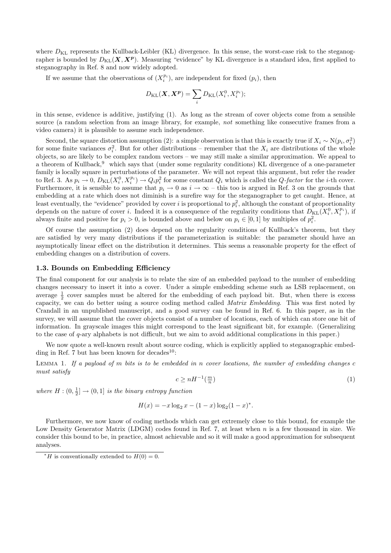where  $D_{KL}$  represents the Kullback-Leibler (KL) divergence. In this sense, the worst-case risk to the steganographer is bounded by  $D_{\text{KL}}(X, X^p)$ . Measuring "evidence" by KL divergence is a standard idea, first applied to steganography in Ref. 8 and now widely adopted.

If we assume that the observations of  $(X_i^{p_i})$ , are independent for fixed  $(p_i)$ , then

$$
D_{\mathrm{KL}}(\boldsymbol{X}, \boldsymbol{X^p}) = \sum_i D_{\mathrm{KL}}(X_i^0, X_i^{p_i});
$$

in this sense, evidence is additive, justifying (1). As long as the stream of cover objects come from a sensible source (a random selection from an image library, for example, not something like consecutive frames from a video camera) it is plausible to assume such independence.

Second, the square distortion assumption (2): a simple observation is that this is exactly true if  $X_i \sim N(p_i, \sigma_i^2)$ for some finite variances  $\sigma_i^2$ . But for other distributions – remember that the  $X_i$  are distributions of the whole objects, so are likely to be complex random vectors – we may still make a similar approximation. We appeal to a theorem of Kullback,<sup>9</sup> which says that (under some regularity conditions) KL divergence of a one-parameter family is locally square in perturbations of the parameter. We will not repeat this argument, but refer the reader to Ref. 3. As  $p_i \to 0$ ,  $D_{KL}(X_i^0, X_i^{p_i}) \to Q_i p_i^2$  for some constant  $Q_i$  which is called the  $Q$ -factor for the *i*-th cover. Furthermore, it is sensible to assume that  $p_i \to 0$  as  $i \to \infty$  – this too is argued in Ref. 3 on the grounds that embedding at a rate which does not diminish is a surefire way for the steganographer to get caught. Hence, at least eventually, the "evidence" provided by cover i is proportional to  $p_i^2$ , although the constant of proportionality depends on the nature of cover i. Indeed it is a consequence of the regularity conditions that  $D_{KL}(X_i^0, X_i^{p_i})$ , if always finite and positive for  $p_i > 0$ , is bounded above and below on  $p_i \in [0, 1]$  by multiples of  $p_i^2$ .

Of course the assumption (2) does depend on the regularity conditions of Kullback's theorem, but they are satisfied by very many distributions if the parameterization is suitable: the parameter should have an asymptotically linear effect on the distribution it determines. This seems a reasonable property for the effect of embedding changes on a distribution of covers.

#### 1.3. Bounds on Embedding Efficiency

The final component for our analysis is to relate the size of an embedded payload to the number of embedding changes necessary to insert it into a cover. Under a simple embedding scheme such as LSB replacement, on average  $\frac{1}{2}$  cover samples must be altered for the embedding of each payload bit. But, when there is excess capacity, we can do better using a source coding method called Matrix Embedding. This was first noted by Crandall in an unpublished manuscript, and a good survey can be found in Ref. 6. In this paper, as in the survey, we will assume that the cover objects consist of a number of locations, each of which can store one bit of information. In grayscale images this might correspond to the least significant bit, for example. (Generalizing to the case of q-ary alphabets is not difficult, but we aim to avoid additional complications in this paper.)

We now quote a well-known result about source coding, which is explicitly applied to steganographic embedding in Ref. 7 but has been known for decades $^{10}$ :

LEMMA 1. If a payload of m bits is to be embedded in n cover locations, the number of embedding changes  $c$ must satisfy

$$
c \ge nH^{-1}(\frac{m}{n})\tag{1}
$$

where  $H: (0, \frac{1}{2}] \to (0, 1]$  is the binary entropy function

$$
H(x) = -x \log_2 x - (1 - x) \log_2 (1 - x)^*.
$$

Furthermore, we now know of coding methods which can get extremely close to this bound, for example the Low Density Generator Matrix (LDGM) codes found in Ref. 7, at least when n is a few thousand in size. We consider this bound to be, in practice, almost achievable and so it will make a good approximation for subsequent analyses.

<sup>&</sup>lt;sup>\*</sup>H is conventionally extended to  $H(0) = 0$ .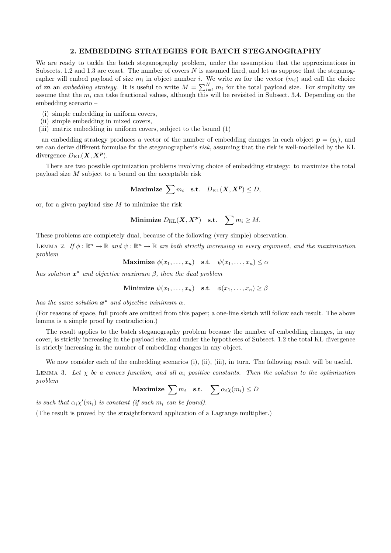#### 2. EMBEDDING STRATEGIES FOR BATCH STEGANOGRAPHY

We are ready to tackle the batch steganography problem, under the assumption that the approximations in Subsects. 1.2 and 1.3 are exact. The number of covers  $N$  is assumed fixed, and let us suppose that the steganographer will embed payload of size  $m_i$  in object number i. We write  $m$  for the vector  $(m_i)$  and call the choice of **m** an embedding strategy. It is useful to write  $M = \sum_{i=1}^{N} m_i$  for the total payload size. For simplicity we assume that the  $m_i$  can take fractional values, although this will be revisited in Subsect. 3.4. Depending on the embedding scenario –

- (i) simple embedding in uniform covers,
- (ii) simple embedding in mixed covers,
- (iii) matrix embedding in uniform covers, subject to the bound (1)

– an embedding strategy produces a vector of the number of embedding changes in each object  $p = (p_i)$ , and we can derive different formulae for the steganographer's risk, assuming that the risk is well-modelled by the KL divergence  $D_{\text{KL}}(\boldsymbol{X}, \boldsymbol{X^p}).$ 

There are two possible optimization problems involving choice of embedding strategy: to maximize the total payload size M subject to a bound on the acceptable risk

$$
\text{Maximize }\sum m_i \quad \text{s.t.} \quad D_{\text{KL}}(\boldsymbol{X}, \boldsymbol{X^p}) \leq D,
$$

or, for a given payload size  $M$  to minimize the risk

**Minimize** 
$$
D_{\text{KL}}(\boldsymbol{X}, \boldsymbol{X^p})
$$
 s.t.  $\sum m_i \geq M$ .

These problems are completely dual, because of the following (very simple) observation.

LEMMA 2. If  $\phi : \mathbb{R}^n \to \mathbb{R}$  and  $\psi : \mathbb{R}^n \to \mathbb{R}$  are both strictly increasing in every argument, and the maximization problem

$$
\textbf{Maximize } \phi(x_1, \dots, x_n) \quad \text{s.t.} \quad \psi(x_1, \dots, x_n) \le \alpha
$$

has solution  $x^*$  and objective maximum  $\beta$ , then the dual problem

**Minimize** 
$$
\psi(x_1, \ldots, x_n)
$$
 s.t.  $\phi(x_1, \ldots, x_n) \geq \beta$ 

has the same solution  $x^*$  and objective minimum  $\alpha$ .

(For reasons of space, full proofs are omitted from this paper; a one-line sketch will follow each result. The above lemma is a simple proof by contradiction.)

The result applies to the batch steganography problem because the number of embedding changes, in any cover, is strictly increasing in the payload size, and under the hypotheses of Subsect. 1.2 the total KL divergence is strictly increasing in the number of embedding changes in any object.

We now consider each of the embedding scenarios (i), (ii), (iii), in turn. The following result will be useful.

LEMMA 3. Let  $\chi$  be a convex function, and all  $\alpha_i$  positive constants. Then the solution to the optimization problem

 $\textbf{Maximize } \sum m_i \quad \textbf{s.t.} \quad \sum \alpha_i \chi(m_i) \leq D$ 

is such that  $\alpha_i \chi'(m_i)$  is constant (if such  $m_i$  can be found).

(The result is proved by the straightforward application of a Lagrange multiplier.)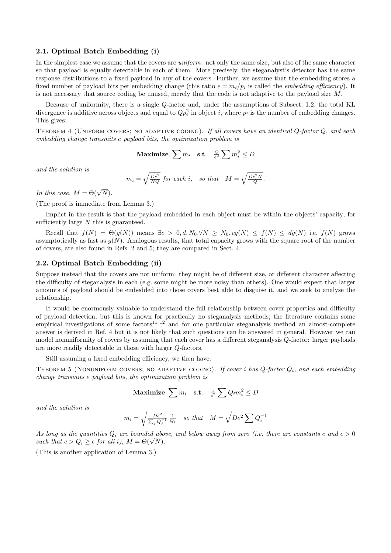#### 2.1. Optimal Batch Embedding (i)

In the simplest case we assume that the covers are *uniform*: not only the same size, but also of the same character so that payload is equally detectable in each of them. More precisely, the steganalyst's detector has the same response distributions to a fixed payload in any of the covers. Further, we assume that the embedding stores a fixed number of payload bits per embedding change (this ratio  $e = m_i/p_i$  is called the *embedding efficiency*). It is not necessary that source coding be unused, merely that the code is not adaptive to the payload size M.

Because of uniformity, there is a single Q-factor and, under the assumptions of Subsect. 1.2, the total KL divergence is additive across objects and equal to  $Qp_i^2$  in object i, where  $p_i$  is the number of embedding changes. This gives:

THEOREM 4 (UNIFORM COVERS; NO ADAPTIVE CODING). If all covers have an identical  $Q$ -factor  $Q$ , and each embedding change transmits e payload bits, the optimization problem is

$$
\textbf{Maximize } \sum m_i \quad \text{s.t.} \quad \frac{Q}{e^2} \sum m_i^2 \le D
$$

and the solution is

$$
m_i = \sqrt{\frac{De^2}{NQ}} \text{ for each } i, \quad \text{so that} \quad M = \sqrt{\frac{De^2N}{Q}}.
$$

In this case,  $M = \Theta(\sqrt{N}).$ 

(The proof is immediate from Lemma 3.)

Implict in the result is that the payload embedded in each object must be within the objects' capacity; for sufficiently large N this is guaranteed.

Recall that  $f(N) = \Theta(g(N))$  means  $\exists c > 0, d, N_0, \forall N \ge N_0, cg(N) \le f(N) \le dg(N)$  i.e.  $f(N)$  grows asymptotically as fast as  $g(N)$ . Analogous results, that total capacity grows with the square root of the number of covers, are also found in Refs. 2 and 5; they are compared in Sect. 4.

## 2.2. Optimal Batch Embedding (ii)

Suppose instead that the covers are not uniform: they might be of different size, or different character affecting the difficulty of steganalysis in each (e.g. some might be more noisy than others). One would expect that larger amounts of payload should be embedded into those covers best able to disguise it, and we seek to analyse the relationship.

It would be enormously valuable to understand the full relationship between cover properties and difficulty of payload detection, but this is known for practically no steganalysis methods; the literature contains some empirical investigations of some factors<sup>11, 12</sup> and for one particular steganalysis method an almost-complete answer is derived in Ref. 4 but it is not likely that such questions can be answered in general. However we can model nonuniformity of covers by assuming that each cover has a different steganalysis Q-factor: larger payloads are more readily detectable in those with larger Q-factors.

Still assuming a fixed embedding efficiency, we then have:

THEOREM 5 (NONUNIFORM COVERS; NO ADAPTIVE CODING). If cover i has  $Q$ -factor  $Q_i$ , and each embedding change transmits e payload bits, the optimization problem is

$$
\textbf{Maximize } \sum m_i \quad \text{s.t.} \quad \frac{1}{e^2} \sum Q_i m_i^2 \le D
$$

and the solution is

$$
m_i = \sqrt{\frac{De^2}{\sum_j Q_j^{-1}}} \frac{1}{Q_i}
$$
 so that 
$$
M = \sqrt{De^2 \sum Q_i^{-1}}
$$

As long as the quantities  $Q_i$  are bounded above, and below away from zero (i.e. there are constants c and  $\epsilon > 0$ such that  $c > Q_i \geq \epsilon$  for all i),  $M = \Theta(\sqrt{N})$ .

(This is another application of Lemma 3.)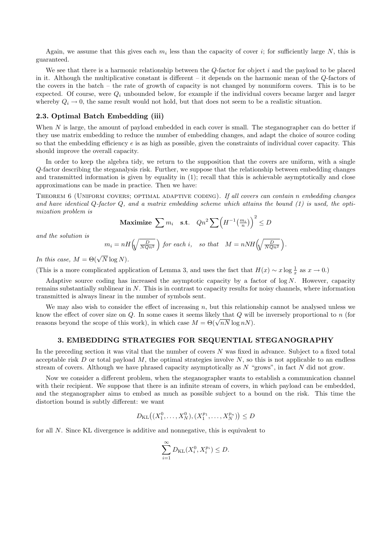Again, we assume that this gives each  $m_i$  less than the capacity of cover i; for sufficiently large N, this is guaranteed.

We see that there is a harmonic relationship between the  $Q$ -factor for object i and the payload to be placed in it. Although the multiplicative constant is different – it depends on the harmonic mean of the Q-factors of the covers in the batch – the rate of growth of capacity is not changed by nonuniform covers. This is to be expected. Of course, were  $Q_i$  unbounded below, for example if the individual covers became larger and larger whereby  $Q_i \to 0$ , the same result would not hold, but that does not seem to be a realistic situation.

## 2.3. Optimal Batch Embedding (iii)

When  $N$  is large, the amount of payload embedded in each cover is small. The steganographer can do better if they use matrix embedding to reduce the number of embedding changes, and adapt the choice of source coding so that the embedding efficiency  $e$  is as high as possible, given the constraints of individual cover capacity. This should improve the overall capacity.

In order to keep the algebra tidy, we return to the supposition that the covers are uniform, with a single Q-factor describing the steganalysis risk. Further, we suppose that the relationship between embedding changes and transmitted information is given by equality in (1); recall that this is achievable asymptotically and close approximations can be made in practice. Then we have:

THEOREM 6 (UNIFORM COVERS; OPTIMAL ADAPTIVE CODING). If all covers can contain n embedding changes and have identical  $Q$ -factor  $Q$ , and a matrix embedding scheme which attains the bound  $(1)$  is used, the optimization problem is

$$
\text{Maximize } \sum m_i \quad \text{s.t.} \quad Qn^2 \sum \left( H^{-1} \left( \frac{m_i}{n} \right) \right)^2 \le D
$$

and the solution is

$$
m_i = nH\left(\sqrt{\frac{D}{NQn^2}}\right) \text{ for each } i, \text{ so that } M = nNH\left(\sqrt{\frac{D}{NQn^2}}\right).
$$

In this case,  $M = \Theta(\sqrt{N} \log N)$ .

(This is a more complicated application of Lemma 3, and uses the fact that  $H(x) \sim x \log \frac{1}{x}$  as  $x \to 0$ .)

Adaptive source coding has increased the asymptotic capacity by a factor of  $\log N$ . However, capacity remains substantially sublinear in  $N$ . This is in contrast to capacity results for noisy channels, where information transmitted is always linear in the number of symbols sent.

We may also wish to consider the effect of increasing  $n$ , but this relationship cannot be analysed unless we know the effect of cover size on  $Q$ . In some cases it seems likely that  $Q$  will be inversely proportional to  $n$  (for reasons beyond the scope of this work), in which case  $M = \Theta(\sqrt{nN} \log nN)$ .

#### 3. EMBEDDING STRATEGIES FOR SEQUENTIAL STEGANOGRAPHY

In the preceding section it was vital that the number of covers N was fixed in advance. Subject to a fixed total acceptable risk D or total payload M, the optimal strategies involve  $N$ , so this is not applicable to an endless stream of covers. Although we have phrased capacity asymptotically as  $N$  "grows", in fact  $N$  did not grow.

Now we consider a different problem, when the steganographer wants to establish a communication channel with their recipient. We suppose that there is an infinite stream of covers, in which payload can be embedded, and the steganographer aims to embed as much as possible subject to a bound on the risk. This time the distortion bound is subtly different: we want

$$
D_{\mathrm{KL}}\big((X_1^0, \dots, X_N^0), (X_1^{p_1}, \dots, X_N^{p_n})\big) \le D
$$

for all N. Since KL divergence is additive and nonnegative, this is equivalent to

$$
\sum_{i=1}^{\infty} D_{\text{KL}}(X_i^0, X_i^{p_i}) \le D.
$$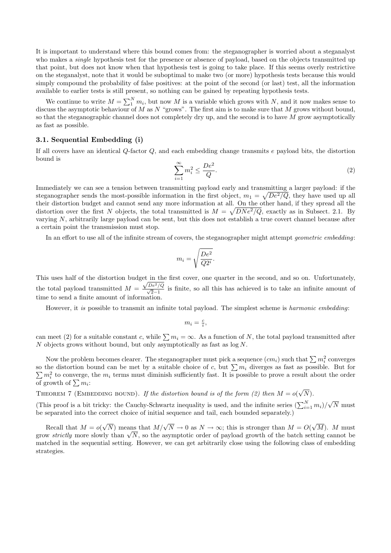It is important to understand where this bound comes from: the steganographer is worried about a steganalyst who makes a *single* hypothesis test for the presence or absence of payload, based on the objects transmitted up that point, but does not know when that hypothesis test is going to take place. If this seems overly restrictive on the steganalyst, note that it would be suboptimal to make two (or more) hypothesis tests because this would simply compound the probability of false positives: at the point of the second (or last) test, all the information available to earlier tests is still present, so nothing can be gained by repeating hypothesis tests.

We continue to write  $M = \sum_{i=1}^{N} m_i$ , but now M is a variable which grows with N, and it now makes sense to discuss the asymptotic behaviour of M as N "grows". The first aim is to make sure that M grows without bound, so that the steganographic channel does not completely dry up, and the second is to have M grow asymptotically as fast as possible.

# 3.1. Sequential Embedding (i)

If all covers have an identical Q-factor Q, and each embedding change transmits e payload bits, the distortion bound is

$$
\sum_{i=1}^{\infty} m_i^2 \le \frac{De^2}{Q}.\tag{2}
$$

Immediately we can see a tension between transmitting payload early and transmitting a larger payload: if the steganographer sends the most-possible information in the first object,  $m_1 = \sqrt{De^2/Q}$ , they have used up all their distortion budget and cannot send any more information at all. On the other hand, if they spread all the distortion over the first N objects, the total transmitted is  $M = \sqrt{DNe^2/Q}$ , exactly as in Subsect. 2.1. By varying N, arbitrarily large payload can be sent, but this does not establish a true covert channel because after a certain point the transmission must stop.

In an effort to use all of the infinite stream of covers, the steganographer might attempt geometric embedding:

$$
m_i = \sqrt{\frac{De^2}{Q2^i}}.
$$

This uses half of the distortion budget in the first cover, one quarter in the second, and so on. Unfortunately, the total payload transmitted  $M =$  $\frac{\sqrt{De^2/Q}}{\sqrt{2}-1}$  is finite, so all this has achieved is to take an infinite amount of time to send a finite amount of information.

However, it is possible to transmit an infinite total payload. The simplest scheme is harmonic embedding:

$$
m_i = \frac{c}{i},
$$

can meet (2) for a suitable constant c, while  $\sum m_i = \infty$ . As a function of N, the total payload transmitted after N objects grows without bound, but only asymptotically as fast as  $log N$ .

Now the problem becomes clearer. The steganographer must pick a sequence  $(cm_i)$  such that  $\sum m_i^2$  converges so the distortion bound can be met by a suitable choice of c, but  $\sum m_i$  diverges as fast as possible. But for  $\sum m_i^2$  to converge, the  $m_i$  terms must diminish sufficiently fast. It is possible to prove a result about the order of growth of  $\sum m_i$ :

THEOREM 7 (EMBEDDING BOUND). If the distortion bound is of the form (2) then  $M = o(\sqrt{N})$ .

(This proof is a bit tricky: the Cauchy-Schwartz inequality is used, and the infinite series  $(\sum_{i=1}^{N} m_i)/\sqrt{N}$  must be separated into the correct choice of initial sequence and tail, each bounded separately.)

Recall that  $M = o(\sqrt{N})$  means that  $M/\sqrt{N} \to 0$  as  $N \to \infty$ ; this is stronger than  $M = O(\sqrt{M})$ . M must grow strictly more slowly than  $\sqrt{N}$ , so the asymptotic order of payload growth of the batch setting cannot be matched in the sequential setting. However, we can get arbitrarily close using the following class of embedding strategies.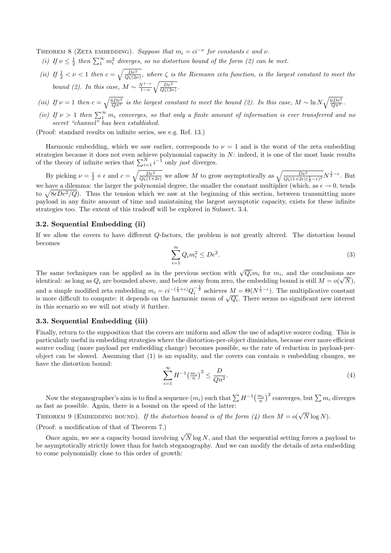THEOREM 8 (ZETA EMBEDDING). Suppose that  $m_i = ci^{-\nu}$  for constants c and  $\nu$ .

- (i) If  $\nu \leq \frac{1}{2}$  then  $\sum_{1}^{\infty} m_i^2$  diverges, so no distortion bound of the form (2) can be met.
- (ii) If  $\frac{1}{2} < \nu < 1$  then  $c = \sqrt{\frac{De^2}{Q(\Omega \nu)}}$ , where  $\zeta$  is the Riemann zeta function, is the largest constant to meet the bound (2). In this case,  $M \sim \frac{N^{1-\nu}}{1-\nu}$  $1-\nu$  $\sqrt{\frac{De^2}{Q\zeta(2\nu)}}$ .
- (iii) If  $\nu = 1$  then  $c = \sqrt{\frac{6De^2}{Q\pi^2}}$  is the largest constant to meet the bound (2). In this case,  $M \sim \ln N \sqrt{\frac{6De^2}{Q\pi^2}}$ .
- (iv) If  $\nu > 1$  then  $\sum_{1}^{\infty} m_i$  converges, so that only a finite amount of information is ever transferred and no secret "channel" has been established.

(Proof: standard results on infinite series, see e.g. Ref. 13.)

Harmonic embedding, which we saw earlier, corresponds to  $\nu = 1$  and is the worst of the zeta embedding strategies because it does not even achieve polynomial capacity in  $N$ : indeed, it is one of the most basic results of the theory of infinite series that  $\sum_{i=1}^{N} i^{-1}$  only just diverges.

By picking  $\nu = \frac{1}{2} + \epsilon$  and  $c = \sqrt{\frac{De^2}{Q\zeta(1+2\epsilon)}}$  we allow M to grow asymptotically as  $\sqrt{\frac{De^2}{Q\zeta(1+2\epsilon)(\frac{1}{2}-\epsilon)^2}} N^{\frac{1}{2}-\epsilon}$ . But we have a dilemma: the larger the polynomial degree, the smaller the constant multiplier (which, as  $\epsilon \to 0$ , tends to  $\sqrt{8\epsilon D\epsilon^2/Q}$ . Thus the tension which we saw at the beginning of this section, between transmitting more payload in any finite amount of time and maintaining the largest asymptotic capacity, exists for these infinite strategies too. The extent of this tradeoff will be explored in Subsect. 3.4.

#### 3.2. Sequential Embedding (ii)

If we allow the covers to have different Q-factors, the problem is not greatly altered. The distortion bound becomes

$$
\sum_{i=1}^{\infty} Q_i m_i^2 \le De^2.
$$
 (3)

The same techniques can be applied as in the previous section with  $\sqrt{Q_i}m_i$  for  $m_i$ , and the conclusions are identical: as long as  $Q_i$  are bounded above, and below away from zero, the embedding bound is still  $M = o(\sqrt{N})$ , and a simple modified zeta embedding  $m_i = ci^{-(\frac{1}{2}+\epsilon)}Q_i^{-\frac{1}{2}}$  achieves  $M = \Theta(N^{\frac{1}{2}-\epsilon})$ . The multiplicative constant is more difficult to compute: it depends on the harmonic mean of  $\sqrt{Q_i}$ . There seems no significant new interest in this scenario so we will not study it further.

## 3.3. Sequential Embedding (iii)

Finally, return to the supposition that the covers are uniform and allow the use of adaptive source coding. This is particularly useful in embedding strategies where the distortion-per-object diminishes, because ever more efficient source coding (more payload per embedding change) becomes possible, so the rate of reduction in payload-perobject can be slowed. Assuming that  $(1)$  is an equality, and the covers can contain n embedding changes, we have the distortion bound:

$$
\sum_{i=1}^{\infty} H^{-1} \left( \frac{m_i}{n} \right)^2 \le \frac{D}{Q n^2}.
$$
\n(4)

Now the steganographer's aim is to find a sequence  $(m_i)$  such that  $\sum H^{-1}(\frac{m_i}{n})^2$  converges, but  $\sum m_i$  diverges as fast as possible. Again, there is a bound on the speed of the latter:

THEOREM 9 (EMBEDDING BOUND). If the distortion bound is of the form (4) then  $M = o(\sqrt{N} \log N)$ .

#### (Proof: a modification of that of Theorem 7.)

Once again, we see a capacity bound involving  $\sqrt{N} \log N$ , and that the sequential setting forces a payload to be asymptotically strictly lower than for batch steganography. And we can modify the details of zeta embedding to come polynomially close to this order of growth: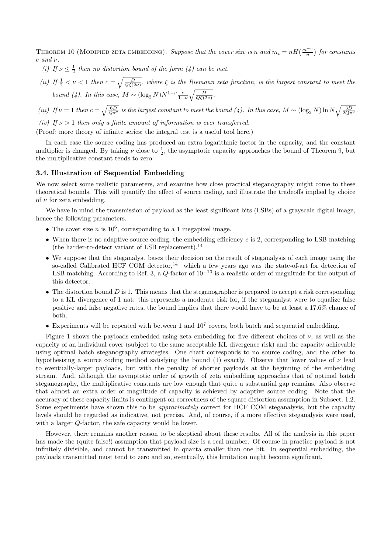THEOREM 10 (MODIFIED ZETA EMBEDDING). Suppose that the cover size is n and  $m_i = nH\left(\frac{ci^{-\nu}}{n}\right)$  for constants  $c$  and  $\nu$ .

- (i) If  $\nu \leq \frac{1}{2}$  then no distortion bound of the form (4) can be met.
- (ii) If  $\frac{1}{2} < \nu < 1$  then  $c = \sqrt{\frac{D}{Q(\zeta(2\nu)}}$ , where  $\zeta$  is the Riemann zeta function, is the largest constant to meet the bound (4). In this case,  $M \sim (\log_2 N) N^{1-\nu} \frac{\nu}{1-\nu}$  $\sqrt{\frac{D}{Q\zeta(2\nu)}}$ .
- (iii) If  $\nu = 1$  then  $c = \sqrt{\frac{6D}{Q\pi^2}}$  is the largest constant to meet the bound (4). In this case,  $M \sim (\log_2 N) \ln N \sqrt{\frac{3D}{2Q\pi^2}}$ .

(iv) If  $\nu > 1$  then only a finite amount of information is ever transferred.

(Proof: more theory of infinite series; the integral test is a useful tool here.)

In each case the source coding has produced an extra logarithmic factor in the capacity, and the constant multiplier is changed. By taking  $\nu$  close to  $\frac{1}{2}$ , the asymptotic capacity approaches the bound of Theorem 9, but the multiplicative constant tends to zero.

#### 3.4. Illustration of Sequential Embedding

We now select some realistic parameters, and examine how close practical steganography might come to these theoretical bounds. This will quantify the effect of source coding, and illustrate the tradeoffs implied by choice of  $\nu$  for zeta embedding.

We have in mind the transmission of payload as the least significant bits (LSBs) of a grayscale digital image, hence the following parameters.

- The cover size  $n$  is  $10^6$ , corresponding to a 1 megapixel image.
- When there is no adaptive source coding, the embedding efficiency e is 2, corresponding to LSB matching (the harder-to-detect variant of LSB replacement).<sup>14</sup>
- We suppose that the steganalyst bases their decision on the result of steganalysis of each image using the so-called Calibrated HCF COM detector,<sup>14</sup> which a few years ago was the state-of-art for detection of LSB matching. According to Ref. 3, a  $Q$ -factor of  $10^{-10}$  is a realistic order of magnitude for the output of this detector.
- $\bullet$  The distortion bound  $D$  is 1. This means that the steganographer is prepared to accept a risk corresponding to a KL divergence of 1 nat: this represents a moderate risk for, if the steganalyst were to equalize false positive and false negative rates, the bound implies that there would have to be at least a 17.6% chance of both.
- $\bullet$  Experiments will be repeated with between 1 and  $10^7$  covers, both batch and sequential embedding.

Figure 1 shows the payloads embedded using zeta embedding for five different choices of  $\nu$ , as well as the capacity of an individual cover (subject to the same acceptable KL divergence risk) and the capacity achievable using optimal batch steganography strategies. One chart corresponds to no source coding, and the other to hypothesising a source coding method satisfying the bound (1) exactly. Observe that lower values of  $\nu$  lead to eventually-larger payloads, but with the penalty of shorter payloads at the beginning of the embedding stream. And, although the asymptotic order of growth of zeta embedding approaches that of optimal batch steganography, the multiplicative constants are low enough that quite a substantial gap remains. Also observe that almost an extra order of magnitude of capacity is achieved by adaptive source coding. Note that the accuracy of these capacity limits is contingent on correctness of the square distortion assumption in Subsect. 1.2. Some experiments have shown this to be *approximately* correct for HCF COM steganalysis, but the capacity levels should be regarded as indicative, not precise. And, of course, if a more effective steganalysis were used, with a larger Q-factor, the safe capacity would be lower.

However, there remains another reason to be skeptical about these results. All of the analysis in this paper has made the (quite false!) assumption that payload size is a real number. Of course in practice payload is not infinitely divisible, and cannot be transmitted in quanta smaller than one bit. In sequential embedding, the payloads transmitted must tend to zero and so, eventually, this limitation might become significant.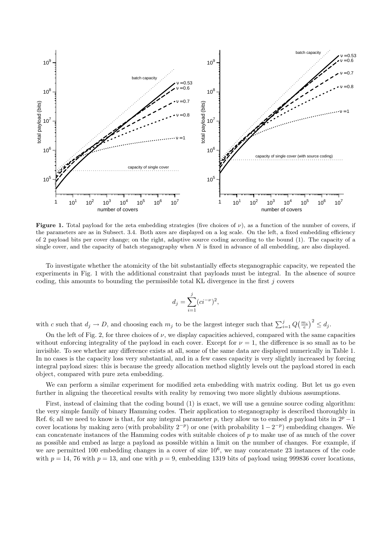

**Figure 1.** Total payload for the zeta embedding strategies (five choices of  $\nu$ ), as a function of the number of covers, if the parameters are as in Subsect. 3.4. Both axes are displayed on a log scale. On the left, a fixed embedding efficiency of 2 payload bits per cover change; on the right, adaptive source coding according to the bound (1). The capacity of a single cover, and the capacity of batch steganography when  $N$  is fixed in advance of all embedding, are also displayed.

To investigate whether the atomicity of the bit substantially effects steganographic capacity, we repeated the experiments in Fig. 1 with the additional constraint that payloads must be integral. In the absence of source coding, this amounts to bounding the permissible total KL divergence in the first j covers

$$
d_j = \sum_{i=1}^{j} (ci^{-\nu})^2,
$$

with c such that  $d_j \to D$ , and choosing each  $m_j$  to be the largest integer such that  $\sum_{i=1}^j Q(\frac{m_i}{e})^2 \leq d_j$ .

On the left of Fig. 2, for three choices of  $\nu$ , we display capacities achieved, compared with the same capacities without enforcing integrality of the payload in each cover. Except for  $\nu = 1$ , the difference is so small as to be invisible. To see whether any difference exists at all, some of the same data are displayed numerically in Table 1. In no cases is the capacity loss very substantial, and in a few cases capacity is very slightly increased by forcing integral payload sizes: this is because the greedy allocation method slightly levels out the payload stored in each object, compared with pure zeta embedding.

We can perform a similar experiment for modified zeta embedding with matrix coding. But let us go even further in aligning the theoretical results with reality by removing two more slightly dubious assumptions.

First, instead of claiming that the coding bound (1) is exact, we will use a genuine source coding algorithm: the very simple family of binary Hamming codes. Their application to steganography is described thoroughly in Ref. 6; all we need to know is that, for any integral parameter p, they allow us to embed p payload bits in  $2^p - 1$ cover locations by making zero (with probability  $2^{-p}$ ) or one (with probability  $1 - 2^{-p}$ ) embedding changes. We can concatenate instances of the Hamming codes with suitable choices of  $p$  to make use of as much of the cover as possible and embed as large a payload as possible within a limit on the number of changes. For example, if we are permitted 100 embedding changes in a cover of size  $10^6$ , we may concatenate 23 instances of the code with  $p = 14$ , 76 with  $p = 13$ , and one with  $p = 9$ , embedding 1319 bits of payload using 999836 cover locations,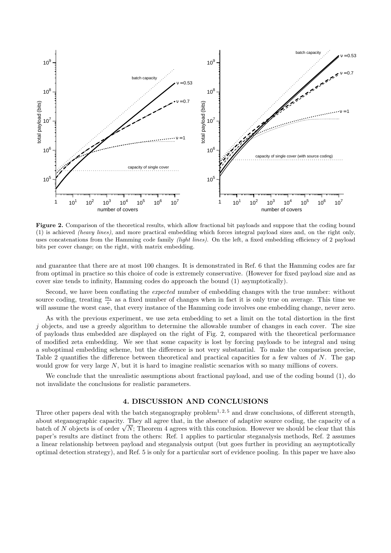

Figure 2. Comparison of the theoretical results, which allow fractional bit payloads and suppose that the coding bound (1) is achieved (heavy lines), and more practical embedding which forces integral payload sizes and, on the right only, uses concatenations from the Hamming code family (light lines). On the left, a fixed embedding efficiency of 2 payload bits per cover change; on the right, with matrix embedding.

and guarantee that there are at most 100 changes. It is demonstrated in Ref. 6 that the Hamming codes are far from optimal in practice so this choice of code is extremely conservative. (However for fixed payload size and as cover size tends to infinity, Hamming codes do approach the bound (1) asymptotically).

Second, we have been conflating the expected number of embedding changes with the true number: without source coding, treating  $\frac{m_i}{e}$  as a fixed number of changes when in fact it is only true on average. This time we will assume the worst case, that every instance of the Hamming code involves one embedding change, never zero.

As with the previous experiment, we use zeta embedding to set a limit on the total distortion in the first  $j$  objects, and use a greedy algorithm to determine the allowable number of changes in each cover. The size of payloads thus embedded are displayed on the right of Fig. 2, compared with the theoretical performance of modified zeta embedding. We see that some capacity is lost by forcing payloads to be integral and using a suboptimal embedding scheme, but the difference is not very substantial. To make the comparison precise, Table 2 quantifies the difference between theoretical and practical capacities for a few values of N. The gap would grow for very large N, but it is hard to imagine realistic scenarios with so many millions of covers.

We conclude that the unrealistic assumptions about fractional payload, and use of the coding bound (1), do not invalidate the conclusions for realistic parameters.

# 4. DISCUSSION AND CONCLUSIONS

Three other papers deal with the batch steganography problem<sup>1, 2, 5</sup> and draw conclusions, of different strength, about steganographic capacity. They all agree that, in the absence of adaptive source coding, the capacity of a batch of N objects is of order  $\sqrt{N}$ ; Theorem 4 agrees with this conclusion. However we should be clear that this paper's results are distinct from the others: Ref. 1 applies to particular steganalysis methods, Ref. 2 assumes a linear relationship between payload and steganalysis output (but goes further in providing an asymptotically optimal detection strategy), and Ref. 5 is only for a particular sort of evidence pooling. In this paper we have also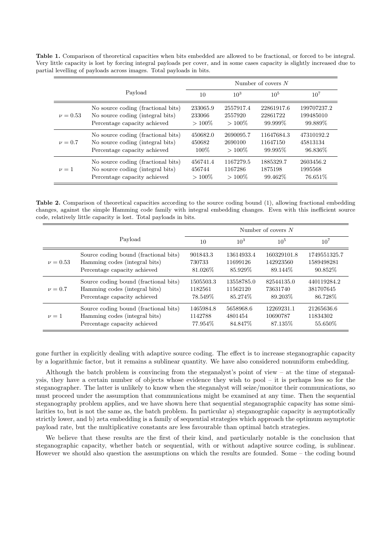Table 1. Comparison of theoretical capacities when bits embedded are allowed to be fractional, or forced to be integral. Very little capacity is lost by forcing integral payloads per cover, and in some cases capacity is slightly increased due to partial levelling of payloads across images. Total payloads in bits.

|              |                                    | Number of covers $N$ |           |            |             |  |
|--------------|------------------------------------|----------------------|-----------|------------|-------------|--|
|              | Payload                            | 10                   | $10^{3}$  | $10^{5}$   | $10^{7}$    |  |
| $\nu = 0.53$ | No source coding (fractional bits) | 233065.9             | 2557917.4 | 22861917.6 | 199707237.2 |  |
|              | No source coding (integral bits)   | 233066               | 2557920   | 22861722   | 199485010   |  |
|              | Percentage capacity achieved       | $>100\%$             | $>100\%$  | 99.999\%   | 99.889\%    |  |
| $\nu = 0.7$  | No source coding (fractional bits) | 450682.0             | 2690095.7 | 11647684.3 | 47310192.2  |  |
|              | No source coding (integral bits)   | 450682               | 2690100   | 11647150   | 45813134    |  |
|              | Percentage capacity achieved       | $100\%$              | $>100\%$  | 99.995\%   | 96.836\%    |  |
| $\nu = 1$    | No source coding (fractional bits) | 456741.4             | 1167279.5 | 1885329.7  | 2603456.2   |  |
|              | No source coding (integral bits)   | 456744               | 1167286   | 1875198    | 1995568     |  |
|              | Percentage capacity achieved       | $>100\%$             | $>100\%$  | 99.462\%   | 76.651\%    |  |

Table 2. Comparison of theoretical capacities according to the source coding bound (1), allowing fractional embedding changes, against the simple Hamming code family with integral embedding changes. Even with this inefficient source code, relatively little capacity is lost. Total payloads in bits.

|              |                                       | Number of covers $N$ |            |             |              |  |
|--------------|---------------------------------------|----------------------|------------|-------------|--------------|--|
|              | Payload                               | 10                   | $10^{3}$   | $10^{5}$    | $10^{7}$     |  |
| $\nu = 0.53$ | Source coding bound (fractional bits) | 901843.3             | 13614933.4 | 160329101.8 | 1749551325.7 |  |
|              | Hamming codes (integral bits)         | 730733               | 11699126   | 142923560   | 1589498281   |  |
|              | Percentage capacity achieved          | 81.026\%             | 85.929\%   | 89.144\%    | 90.852\%     |  |
| $\nu = 0.7$  | Source coding bound (fractional bits) | 1505503.3            | 13558785.0 | 82544135.0  | 440119284.2  |  |
|              | Hamming codes (integral bits)         | 1182561              | 11562120   | 73631740    | 381707645    |  |
|              | Percentage capacity achieved          | 78.549\%             | 85.274\%   | 89.203\%    | 86.728\%     |  |
| $\nu = 1$    | Source coding bound (fractional bits) | 1465984.8            | 5658968.6  | 12269231.1  | 21265636.6   |  |
|              | Hamming codes (integral bits)         | 1142788              | 4801454    | 10690787    | 11834302     |  |
|              | Percentage capacity achieved          | 77.954\%             | 84.847\%   | 87.135\%    | 55.650\%     |  |

gone further in explicitly dealing with adaptive source coding. The effect is to increase steganographic capacity by a logarithmic factor, but it remains a sublinear quantity. We have also considered nonuniform embedding.

Although the batch problem is convincing from the steganalyst's point of view – at the time of steganalysis, they have a certain number of objects whose evidence they wish to pool – it is perhaps less so for the steganographer. The latter is unlikely to know when the steganalyst will seize/monitor their communications, so must proceed under the assumption that communications might be examined at any time. Then the sequential steganography problem applies, and we have shown here that sequential steganographic capacity has some similarities to, but is not the same as, the batch problem. In particular a) steganographic capacity is asymptotically strictly lower, and b) zeta embedding is a family of sequential strategies which approach the optimum asymptotic payload rate, but the multiplicative constants are less favourable than optimal batch strategies.

We believe that these results are the first of their kind, and particularly notable is the conclusion that steganographic capacity, whether batch or sequential, with or without adaptive source coding, is sublinear. However we should also question the assumptions on which the results are founded. Some – the coding bound